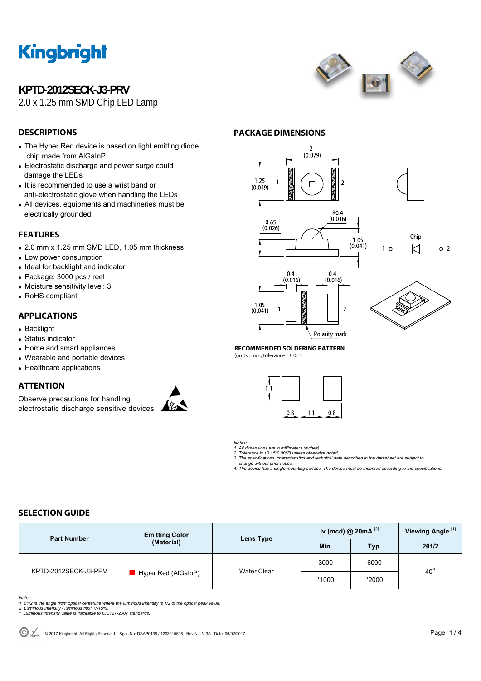## **KPTD-2012SECK-J3-PRV**

2.0 x 1.25 mm SMD Chip LED Lamp



## **DESCRIPTIONS**

- The Hyper Red device is based on light emitting diode chip made from AlGaInP
- Electrostatic discharge and power surge could damage the LEDs
- It is recommended to use a wrist band or anti-electrostatic glove when handling the LEDs
- All devices, equipments and machineries must be electrically grounded

### **FEATURES**

- 2.0 mm x 1.25 mm SMD LED, 1.05 mm thickness
- Low power consumption
- Ideal for backlight and indicator
- Package: 3000 pcs / reel
- Moisture sensitivity level: 3
- RoHS compliant

### **APPLICATIONS**

- Backlight
- Status indicator
- Home and smart appliances
- Wearable and portable devices
- Healthcare applications

#### **ATTENTION**

Observe precautions for handling electrostatic discharge sensitive devices



#### **PACKAGE DIMENSIONS**



Polarity mark



 $\sim$  2

**RECOMMENDED SOLDERING PATTERN**  (units : mm; tolerance  $: \pm 0.1$ )



*Notes: 1. All dimensions are in millimeters (inches).* 

2. Tolerance is ±0.15(0.006") unless otherwise noted.<br>3. The specifications, characteristics and technical data described in the datasheet are subject to<br>change without prior notice.<br>4. The device has a single mounting sur

### **SELECTION GUIDE**

| <b>Part Number</b>   | <b>Emitting Color</b><br>(Material) | Lens Type   | Iv (mcd) @ $20mA$ <sup>[2]</sup> |       | Viewing Angle <sup>[1]</sup> |  |
|----------------------|-------------------------------------|-------------|----------------------------------|-------|------------------------------|--|
|                      |                                     |             | Min.                             | Typ.  | 201/2                        |  |
| KPTD-2012SECK-J3-PRV | Hyper Red (AlGaInP)                 | Water Clear | 3000                             | 6000  |                              |  |
|                      |                                     |             | *1000                            | *2000 | $40^{\circ}$                 |  |

*Notes:* 

1. 01/2 is the angle from optical centerline where the luminous intensity is 1/2 of the optical peak value.<br>2. Luminous intensity / luminous flux: +/-15%.<br>\* Luminous intensity value is traceable to CIE127-2007 standards.

© ROHS © 2017 Kingbright. All Rights Reserved. Spec No: DSAP0138 / 1203015508 Rev No: V.3A Date: 06/02/2017 **Page 1 / 4**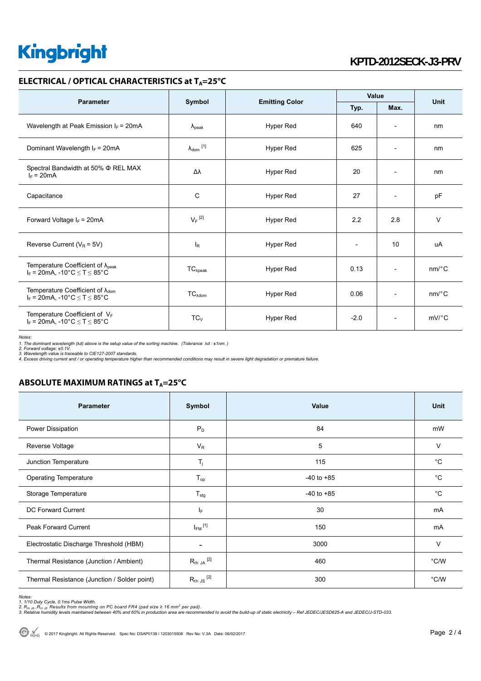## **KPTD-2012SECK-J3-PRV**

#### **ELECTRICAL / OPTICAL CHARACTERISTICS at TA=25°C**

| <b>Parameter</b>                                                                                               | Symbol                     | <b>Emitting Color</b> | Value  |                          | <b>Unit</b> |
|----------------------------------------------------------------------------------------------------------------|----------------------------|-----------------------|--------|--------------------------|-------------|
|                                                                                                                |                            |                       | Typ.   | Max.                     |             |
| Wavelength at Peak Emission $I_F$ = 20mA                                                                       | $\lambda_{\rm peak}$       | Hyper Red             | 640    | $\overline{\phantom{a}}$ | nm          |
| Dominant Wavelength $I_F$ = 20mA                                                                               | $\lambda_{\text{dom}}$ [1] | Hyper Red             | 625    | $\overline{\phantom{a}}$ | nm          |
| Spectral Bandwidth at 50% $\Phi$ REL MAX<br>$I_F = 20mA$                                                       | Δλ                         | Hyper Red             | 20     | $\overline{\phantom{a}}$ | nm          |
| Capacitance                                                                                                    | C                          | Hyper Red             | 27     | $\overline{a}$           | pF          |
| Forward Voltage $I_F = 20mA$                                                                                   | $V_F$ <sup>[2]</sup>       | Hyper Red             | 2.2    | 2.8                      | $\vee$      |
| Reverse Current ( $V_R$ = 5V)                                                                                  | $I_R$                      | <b>Hyper Red</b>      |        | 10                       | uA          |
| Temperature Coefficient of $\lambda_{peak}$<br>$I_F = 20$ mA, -10°C $\le T \le 85$ °C                          | $TC_{\lambda peak}$        | Hyper Red             | 0.13   | $\overline{\phantom{a}}$ | nm/°C       |
| Temperature Coefficient of $\lambda_{\text{dom}}$<br>$I_F = 20$ mA, -10°C $\le T \le 85$ °C                    | TC <sub>Adam</sub>         | Hyper Red             | 0.06   | $\overline{a}$           | $nm$ /°C    |
| Temperature Coefficient of $V_F$<br>$I_F = 20 \text{mA}, -10^{\circ} \text{C} \leq T \leq 85^{\circ} \text{C}$ | $TC_{V}$                   | <b>Hyper Red</b>      | $-2.0$ | $\overline{\phantom{a}}$ | $mV$ °C     |

*Notes:* 

*1. The dominant wavelength (*λ*d) above is the setup value of the sorting machine. (Tolerance* λ*d : ±1nm. )* 

2. Forward voltage: ±0.1V.<br>3. Wavelength value is traceable to CIE127-2007 standards.<br>4. Excess driving current and / or operating temperature higher than recommended conditions may result in severe light degradation or pr

#### **ABSOLUTE MAXIMUM RATINGS at T<sub>A</sub>=25°C**

| <b>Parameter</b>                             | Symbol                   | Value          | <b>Unit</b>   |
|----------------------------------------------|--------------------------|----------------|---------------|
| Power Dissipation                            | $P_D$                    | 84             | mW            |
| Reverse Voltage                              | $V_{R}$                  | 5              | $\vee$        |
| Junction Temperature                         | $T_i$                    | 115            | $^{\circ}C$   |
| <b>Operating Temperature</b>                 | $T_{op}$                 | $-40$ to $+85$ | $^{\circ}C$   |
| Storage Temperature                          | $T_{\text{stg}}$         | $-40$ to $+85$ | $^{\circ}C$   |
| DC Forward Current                           | IF.                      | 30             | mA            |
| <b>Peak Forward Current</b>                  | $I_{FM}$ <sup>[1]</sup>  | 150            | mA            |
| Electrostatic Discharge Threshold (HBM)      | $\overline{\phantom{a}}$ | 3000           | V             |
| Thermal Resistance (Junction / Ambient)      | $R_{th}$ JA $^{[2]}$     | 460            | $\degree$ C/W |
| Thermal Resistance (Junction / Solder point) | $R_{th}$ JS $^{[2]}$     | 300            | $\degree$ C/W |

Notes:<br>1. 1/10 Duty Cycle, 0.1ms Pulse Width.<br>2. R<sub>th JA</sub> ,R<sub>th JS</sub> Results from mounting on PC board FR4 (pad size ≥ 16 mm<sup>2</sup> per pad).<br>3. Relative humidity levels maintained between 40% and 60% in production area are re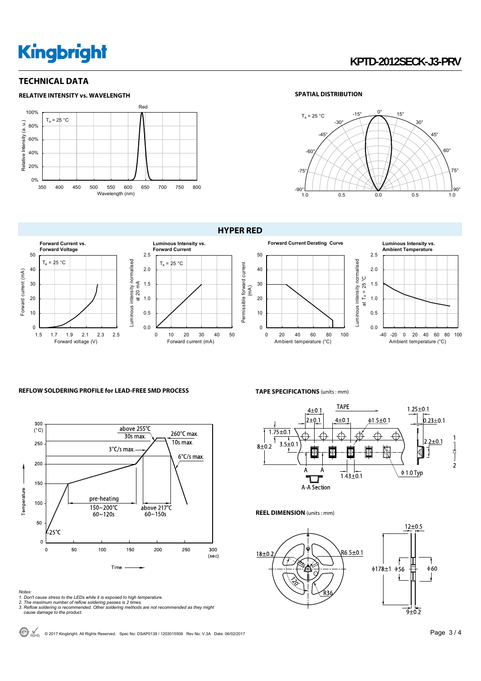## **KPTD-2012SECK-J3-PRV**

### **TECHNICAL DATA**



#### **SPATIAL DISTRIBUTION**





Permissible forward current





#### **Ambient Temperature** 2.5 2.0 ပ္ပ at T<sub>a</sub> = 25 °C 1.5 at  $T_a = 25$ 1.0 0.5 0.0 -40 -20 0 20 40 60 80 100 Ambient temperature (°C)

#### **REFLOW SOLDERING PROFILE for LEAD-FREE SMD PROCESS**



Notes:<br>1. Don't cause stress to the LEDs while it is exposed to high temperature.<br>2. The maximum number of reflow soldering passes is 2 times.<br>3. Reflow soldering is recommended. Other soldering methods are not recommended

**TAPE SPECIFICATIONS** (units : mm)



**REEL DIMENSION** (units : mm)